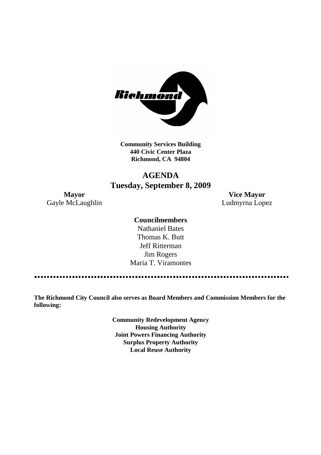

**Community Services Building 440 Civic Center Plaza Richmond, CA 94804**

# **AGENDA Tuesday, September 8, 2009**

**Mayor Vice Mayor** Gayle McLaughlin **Ludmyrna Lopez** 

# **Councilmembers**

Nathaniel Bates Thomas K. Butt Jeff Ritterman Jim Rogers Maria T. Viramontes

**The Richmond City Council also serves as Board Members and Commission Members for the following:**

> **Community Redevelopment Agency Housing Authority Joint Powers Financing Authority Surplus Property Authority Local Reuse Authority**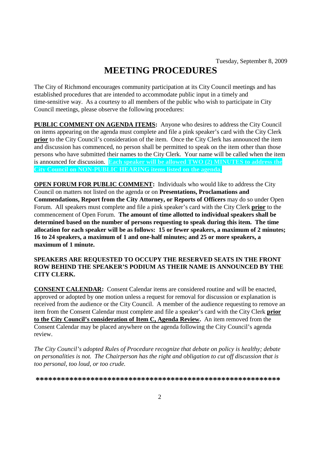# **MEETING PROCEDURES**

The City of Richmond encourages community participation at its City Council meetings and has established procedures that are intended to accommodate public input in a timely and time-sensitive way. As a courtesy to all members of the public who wish to participate in City Council meetings, please observe the following procedures:

**PUBLIC COMMENT ON AGENDA ITEMS:** Anyone who desires to address the City Council on items appearing on the agenda must complete and file a pink speaker's card with the City Clerk **prior** to the City Council's consideration of the item. Once the City Clerk has announced the item and discussion has commenced, no person shall be permitted to speak on the item other than those persons who have submitted their names to the City Clerk. Your name will be called when the item is announced for discussion. **Each speaker will be allowed TWO (2) MINUTES to address the City Council on NON-PUBLIC HEARING items listed on the agenda.**

**OPEN FORUM FOR PUBLIC COMMENT:** Individuals who would like to address the City Council on matters not listed on the agenda or on **Presentations, Proclamations and Commendations, Report from the City Attorney, or Reports of Officers** may do so under Open Forum. All speakers must complete and file a pink speaker's card with the City Clerk **prior** to the commencement of Open Forum. **The amount of time allotted to individual speakers shall be determined based on the number of persons requesting to speak during this item. The time allocation for each speaker will be as follows: 15 or fewer speakers, a maximum of 2 minutes; 16 to 24 speakers, a maximum of 1 and one-half minutes; and 25 or more speakers, a maximum of 1 minute.**

### **SPEAKERS ARE REQUESTED TO OCCUPY THE RESERVED SEATS IN THE FRONT ROW BEHIND THE SPEAKER'S PODIUM AS THEIR NAME IS ANNOUNCED BY THE CITY CLERK.**

**CONSENT CALENDAR:** Consent Calendar items are considered routine and will be enacted, approved or adopted by one motion unless a request for removal for discussion or explanation is received from the audience or the City Council. A member of the audience requesting to remove an item from the Consent Calendar must complete and file a speaker's card with the City Clerk **prior to the City Council's consideration of Item C, Agenda Review.** An item removed from the Consent Calendar may be placed anywhere on the agenda following the City Council's agenda review.

*The City Council's adopted Rules of Procedure recognize that debate on policy is healthy; debate on personalities is not. The Chairperson has the right and obligation to cut off discussion that is too personal, too loud, or too crude.*

**\*\*\*\*\*\*\*\*\*\*\*\*\*\*\*\*\*\*\*\*\*\*\*\*\*\*\*\*\*\*\*\*\*\*\*\*\*\*\*\*\*\*\*\*\*\*\*\*\*\*\*\*\*\*\*\*\*\***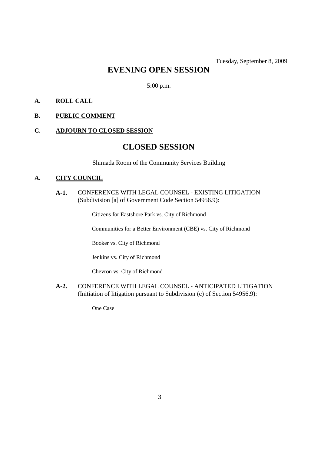# **EVENING OPEN SESSION**

5:00 p.m.

# **A. ROLL CALL**

# **B. PUBLIC COMMENT**

# **C. ADJOURN TO CLOSED SESSION**

# **CLOSED SESSION**

Shimada Room of the Community Services Building

#### **A. CITY COUNCIL**

**A-1.** CONFERENCE WITH LEGAL COUNSEL - EXISTING LITIGATION (Subdivision [a] of Government Code Section 54956.9):

Citizens for Eastshore Park vs. City of Richmond

Communities for a Better Environment (CBE) vs. City of Richmond

Booker vs. City of Richmond

Jenkins vs. City of Richmond

Chevron vs. City of Richmond

**A-2.** CONFERENCE WITH LEGAL COUNSEL - ANTICIPATED LITIGATION (Initiation of litigation pursuant to Subdivision (c) of Section 54956.9):

One Case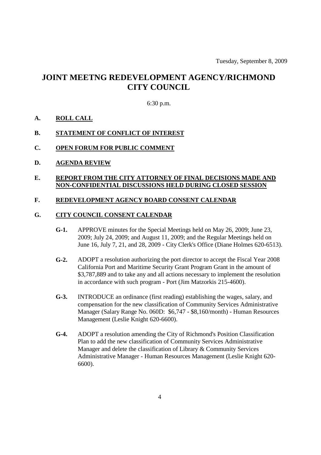# **JOINT MEETNG REDEVELOPMENT AGENCY/RICHMOND CITY COUNCIL**

#### 6:30 p.m.

# **A. ROLL CALL**

### **B. STATEMENT OF CONFLICT OF INTEREST**

### **C. OPEN FORUM FOR PUBLIC COMMENT**

**D. AGENDA REVIEW**

#### **E. REPORT FROM THE CITY ATTORNEY OF FINAL DECISIONS MADE AND NON-CONFIDENTIAL DISCUSSIONS HELD DURING CLOSED SESSION**

### **F. REDEVELOPMENT AGENCY BOARD CONSENT CALENDAR**

#### **G. CITY COUNCIL CONSENT CALENDAR**

- **G-1.** APPROVE minutes for the Special Meetings held on May 26, 2009; June 23, 2009; July 24, 2009; and August 11, 2009; and the Regular Meetings held on June 16, July 7, 21, and 28, 2009 - City Clerk's Office (Diane Holmes 620-6513).
- **G-2.** ADOPT a resolution authorizing the port director to accept the Fiscal Year 2008 California Port and Maritime Security Grant Program Grant in the amount of \$3,787,889 and to take any and all actions necessary to implement the resolution in accordance with such program - Port (Jim Matzorkis 215-4600).
- **G-3.** INTRODUCE an ordinance (first reading) establishing the wages, salary, and compensation for the new classification of Community Services Administrative Manager (Salary Range No. 060D: \$6,747 - \$8,160/month) - Human Resources Management (Leslie Knight 620-6600).
- **G-4.** ADOPT a resolution amending the City of Richmond's Position Classification Plan to add the new classification of Community Services Administrative Manager and delete the classification of Library & Community Services Administrative Manager - Human Resources Management (Leslie Knight 620- 6600).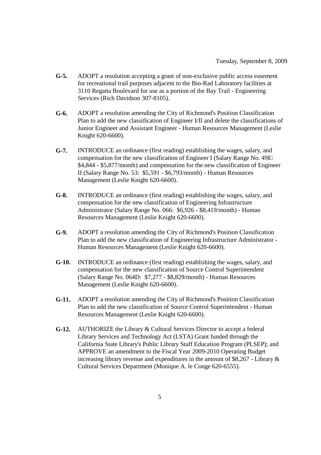- **G-5.** ADOPT a resolution accepting a grant of non-exclusive public access easement for recreational trail purposes adjacent to the Bio-Rad Laboratory facilities at 3110 Regatta Boulevard for use as a portion of the Bay Trail - Engineering Services (Rich Davidson 307-8105).
- **G-6.** ADOPT a resolution amending the City of Richmond's Position Classification Plan to add the new classification of Engineer I/II and delete the classifications of Junior Engineer and Assistant Engineer - Human Resources Management (Leslie Knight 620-6600).
- **G-7.** INTRODUCE an ordinance (first reading) establishing the wages, salary, and compensation for the new classification of Engineer I (Salary Range No. 49E: \$4,844 - \$5,877/month) and compensation for the new classification of Engineer II (Salary Range No. 53: \$5,591 - \$6,793/month) - Human Resources Management (Leslie Knight 620-6600).
- **G-8.** INTRODUCE an ordinance (first reading) establishing the wages, salary, and compensation for the new classification of Engineering Infrastructure Administrator (Salary Range No. 066: \$6,926 - \$8,419/month) - Human Resources Management (Leslie Knight 620-6600).
- **G-9.** ADOPT a resolution amending the City of Richmond's Position Classification Plan to add the new classification of Engineering Infrastructure Administrator - Human Resources Management (Leslie Knight 620-6600).
- **G-10.** INTRODUCE an ordinance (first reading) establishing the wages, salary, and compensation for the new classification of Source Control Superintendent (Salary Range No. 064D: \$7,277 - \$8,829/month) - Human Resources Management (Leslie Knight 620-6600).
- **G-11.** ADOPT a resolution amending the City of Richmond's Position Classification Plan to add the new classification of Source Control Superintendent - Human Resources Management (Leslie Knight 620-6600).
- **G-12.** AUTHORIZE the Library & Cultural Services Director to accept a federal Library Services and Technology Act (LSTA) Grant funded through the California State Library's Public Library Staff Education Program (PLSEP); and APPROVE an amendment to the Fiscal Year 2009-2010 Operating Budget increasing library revenue and expenditures in the amount of \$8,267 - Library & Cultural Services Department (Monique A. le Conge 620-6555).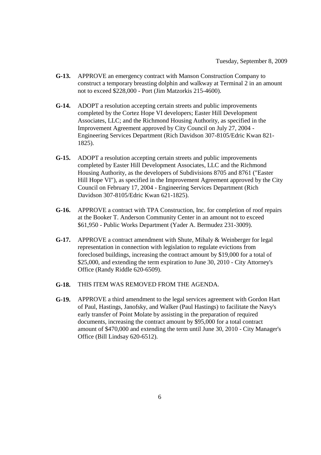- **G-13.** APPROVE an emergency contract with Manson Construction Company to construct a temporary breasting dolphin and walkway at Terminal 2 in an amount not to exceed \$228,000 - Port (Jim Matzorkis 215-4600).
- **G-14.** ADOPT a resolution accepting certain streets and public improvements completed by the Cortez Hope VI developers; Easter Hill Development Associates, LLC; and the Richmond Housing Authority, as specified in the Improvement Agreement approved by City Council on July 27, 2004 - Engineering Services Department (Rich Davidson 307-8105/Edric Kwan 821- 1825).
- **G-15.** ADOPT a resolution accepting certain streets and public improvements completed by Easter Hill Development Associates, LLC and the Richmond Housing Authority, as the developers of Subdivisions 8705 and 8761 ("Easter Hill Hope VI"), as specified in the Improvement Agreement approved by the City Council on February 17, 2004 - Engineering Services Department (Rich Davidson 307-8105/Edric Kwan 621-1825).
- **G-16.** APPROVE a contract with TPA Construction, Inc. for completion of roof repairs at the Booker T. Anderson Community Center in an amount not to exceed \$61,950 - Public Works Department (Yader A. Bermudez 231-3009).
- **G-17.** APPROVE a contract amendment with Shute, Mihaly & Weinberger for legal representation in connection with legislation to regulate evictions from foreclosed buildings, increasing the contract amount by \$19,000 for a total of \$25,000, and extending the term expiration to June 30, 2010 - City Attorney's Office (Randy Riddle 620-6509).
- **G-18.** THIS ITEM WAS REMOVED FROM THE AGENDA.
- **G-19.** APPROVE a third amendment to the legal services agreement with Gordon Hart of Paul, Hastings, Janofsky, and Walker (Paul Hastings) to facilitate the Navy's early transfer of Point Molate by assisting in the preparation of required documents, increasing the contract amount by \$95,000 for a total contract amount of \$470,000 and extending the term until June 30, 2010 - City Manager's Office (Bill Lindsay 620-6512).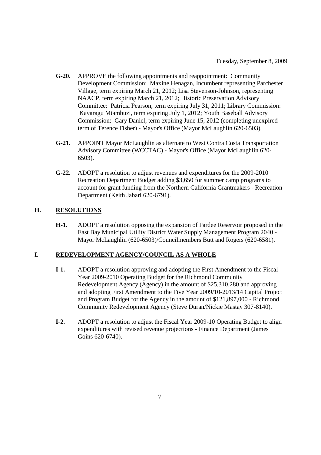- **G-20.** APPROVE the following appointments and reappointment: Community Development Commission: Maxine Henagan, Incumbent representing Parchester Village, term expiring March 21, 2012; Lisa Stevenson-Johnson, representing NAACP, term expiring March 21, 2012; Historic Preservation Advisory Committee: Patricia Pearson, term expiring July 31, 2011; Library Commission: Kavaragu Mtambuzi, term expiring July 1, 2012; Youth Baseball Advisory Commission: Gary Daniel, term expiring June 15, 2012 (completing unexpired term of Terence Fisher) - Mayor's Office (Mayor McLaughlin 620-6503).
- **G-21.** APPOINT Mayor McLaughlin as alternate to West Contra Costa Transportation Advisory Committee (WCCTAC) - Mayor's Office (Mayor McLaughlin 620- 6503).
- **G-22.** ADOPT a resolution to adjust revenues and expenditures for the 2009-2010 Recreation Department Budget adding \$3,650 for summer camp programs to account for grant funding from the Northern California Grantmakers - Recreation Department (Keith Jabari 620-6791).

# **H. RESOLUTIONS**

**H-1.** ADOPT a resolution opposing the expansion of Pardee Reservoir proposed in the East Bay Municipal Utility District Water Supply Management Program 2040 - Mayor McLaughlin (620-6503)/Councilmembers Butt and Rogers (620-6581).

# **I. REDEVELOPMENT AGENCY/COUNCIL AS A WHOLE**

- **I-1.** ADOPT a resolution approving and adopting the First Amendment to the Fiscal Year 2009-2010 Operating Budget for the Richmond Community Redevelopment Agency (Agency) in the amount of \$25,310,280 and approving and adopting First Amendment to the Five Year 2009/10-2013/14 Capital Project and Program Budget for the Agency in the amount of \$121,897,000 - Richmond Community Redevelopment Agency (Steve Duran/Nickie Mastay 307-8140).
- **I-2.** ADOPT a resolution to adjust the Fiscal Year 2009-10 Operating Budget to align expenditures with revised revenue projections - Finance Department (James Goins 620-6740).